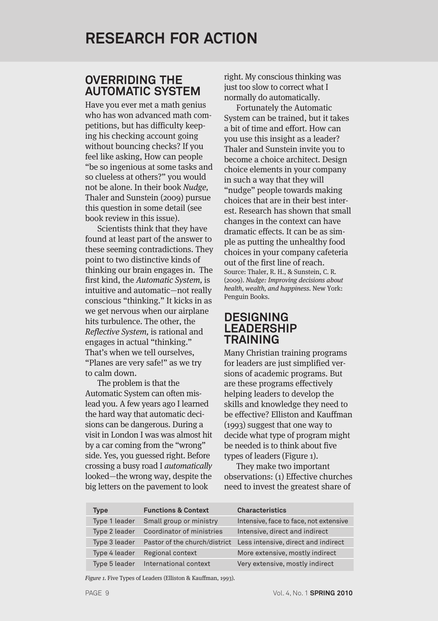## **OVERRIDING THE AUTOMATIC SYSTEM**

Have you ever met a math genius who has won advanced math competitions, but has difficulty keeping his checking account going without bouncing checks? If you feel like asking, How can people "be so ingenious at some tasks and so clueless at others?" you would not be alone. In their book Nudge, Thaler and Sunstein (2009) pursue this question in some detail (see book review in this issue).

Scientists think that they have found at least part of the answer to these seeming contradictions. They point to two distinctive kinds of thinking our brain engages in. The first kind, the Automatic System, is intuitive and automatic—not really conscious "thinking." It kicks in as we get nervous when our airplane hits turbulence. The other, the Reflective System, is rational and engages in actual "thinking." That's when we tell ourselves, "Planes are very safe!" as we try to calm down.

The problem is that the Automatic System can often mislead you. A few years ago I learned the hard way that automatic decisions can be dangerous. During a visit in London I was was almost hit by a car coming from the "wrong" side. Yes, you guessed right. Before crossing a busy road I automatically looked—the wrong way, despite the big letters on the pavement to look

right. My conscious thinking was just too slow to correct what I normally do automatically.

Fortunately the Automatic System can be trained, but it takes a bit of time and effort. How can you use this insight as a leader? Thaler and Sunstein invite you to become a choice architect. Design choice elements in your company in such a way that they will "nudge" people towards making choices that are in their best interest. Research has shown that small changes in the context can have dramatic effects. It can be as simple as putting the unhealthy food choices in your company cafeteria out of the first line of reach. Source: Thaler, R. H., & Sunstein, C. R. (2009). Nudge: Improving decisions about health, wealth, and happiness. New York: Penguin Books. **RESEARCH FOR ACTION**<br> **OVERRIDING THE**<br> **COVERNIDING THE**<br> **COVERNIDING THE**<br> **COVERNIDING INTERNATION** instruction signally do automatrically.<br>
Have you ever met a math genius and the continue of the Automatic<br>
Fortunate

## **DESIGNING LEADERSHIP TRAINING**

Many Christian training programs for leaders are just simplified versions of academic programs. But are these programs effectively helping leaders to develop the skills and knowledge they need to be effective? Elliston and Kauffman (1993) suggest that one way to decide what type of program might be needed is to think about five types of leaders (Figure 1).

They make two important observations: (1) Effective churches need to invest the greatest share of

| Type          | <b>Functions &amp; Context</b> | <b>Characteristics</b>                                            |
|---------------|--------------------------------|-------------------------------------------------------------------|
| Type 1 leader | Small group or ministry        | Intensive, face to face, not extensive                            |
| Type 2 leader | Coordinator of ministries      | Intensive, direct and indirect                                    |
| Type 3 leader |                                | Pastor of the church/district Less intensive, direct and indirect |
| Type 4 leader | Regional context               | More extensive, mostly indirect                                   |
| Type 5 leader | International context          | Very extensive, mostly indirect                                   |

Figure 1. Five Types of Leaders (Elliston & Kauffman, 1993).